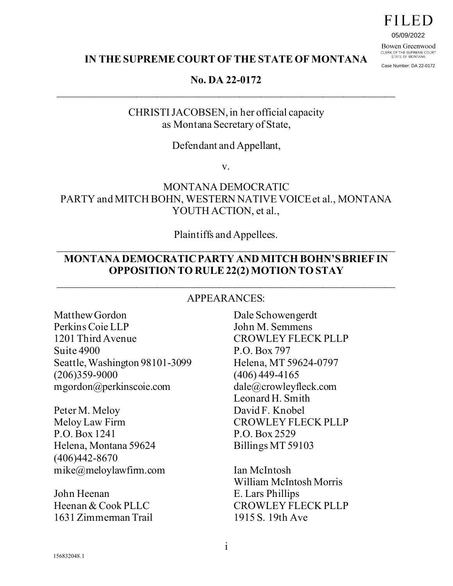05/09/2022

Bowen Greenwood CLERK OF THE SUPREME COURT<br>STATE OF MONTANA

Case Number: DA 22-0172

#### **IN THE SUPREME COURT OF THE STATE OF MONTANA**

### **No. DA 22-0172**  \_\_\_\_\_\_\_\_\_\_\_\_\_\_\_\_\_\_\_\_\_\_\_\_\_\_\_\_\_\_\_\_\_\_\_\_\_\_\_\_\_\_\_\_\_\_\_\_\_\_\_\_\_\_\_\_\_\_\_\_\_\_\_\_\_

CHRISTI JACOBSEN, in her official capacity as Montana Secretary of State,

#### Defendant and Appellant,

v.

## MONTANA DEMOCRATIC PARTY and MITCH BOHN, WESTERN NATIVE VOICE et al., MONTANA YOUTH ACTION, et al.,

#### Plaintiffs and Appellees.  $\overline{\phantom{a}}$  , and the contribution of the contribution of the contribution of the contribution of the contribution of the contribution of the contribution of the contribution of the contribution of the contribution of the

#### **MONTANA DEMOCRATIC PARTY AND MITCH BOHN'SBRIEF IN OPPOSITION TO RULE 22(2) MOTION TO STAY**

#### APPEARANCES:

\_\_\_\_\_\_\_\_\_\_\_\_\_\_\_\_\_\_\_\_\_\_\_\_\_\_\_\_\_\_\_\_\_\_\_\_\_\_\_\_\_\_\_\_\_\_\_\_\_\_\_\_\_\_\_\_\_\_\_\_\_\_\_\_\_

Matthew Gordon Perkins Coie LLP 1201 Third Avenue Suite 4900 Seattle, Washington 98101-3099 (206)359-9000 mgordon@perkinscoie.com

Peter M. Meloy Meloy Law Firm P.O. Box 1241 Helena, Montana 59624 (406)442-8670 mike@meloylawfirm.com

John Heenan Heenan & Cook PLLC 1631 Zimmerman Trail Dale Schowengerdt John M. Semmens CROWLEY FLECK PLLP P.O. Box 797 Helena, MT 59624-0797 (406) 449-4165 dale@crowleyfleck.com Leonard H. Smith David F. Knobel CROWLEY FLECK PLLP P.O. Box 2529 Billings MT 59103

Ian McIntosh William McIntosh Morris E. Lars Phillips CROWLEY FLECK PLLP 1915 S. 19th Ave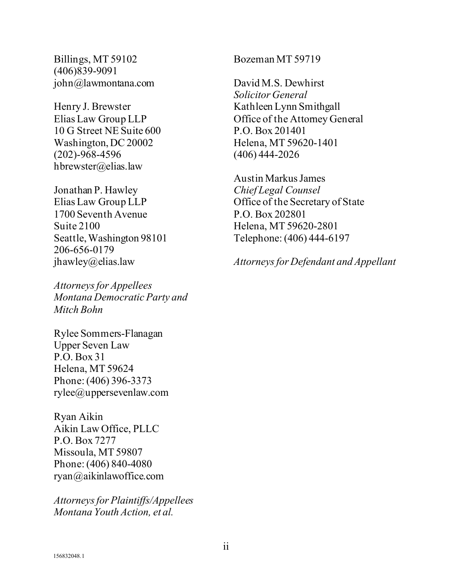Billings, MT 59102 (406)839-9091 john@lawmontana.com

Henry J. Brewster Elias Law Group LLP 10 G Street NE Suite 600 Washington, DC 20002 (202)-968-4596 hbrewster@elias.law

Jonathan P. Hawley Elias Law Group LLP 1700 Seventh Avenue Suite 2100 Seattle, Washington 98101 206-656-0179 jhawley@elias.law

*Attorneys for Appellees Montana Democratic Party and Mitch Bohn*

Rylee Sommers-Flanagan Upper Seven Law P.O. Box 31 Helena, MT 59624 Phone: (406) 396-3373 rylee@uppersevenlaw.com

Ryan Aikin Aikin Law Office, PLLC P.O. Box 7277 Missoula, MT 59807 Phone: (406) 840-4080 ryan@aikinlawoffice.com

*Attorneys for Plaintiffs/Appellees Montana Youth Action, et al.*

Bozeman MT 59719

David M.S. Dewhirst *Solicitor General* Kathleen Lynn Smithgall Office of the Attorney General P.O. Box 201401 Helena, MT 59620-1401 (406) 444-2026

Austin Markus James *Chief Legal Counsel* Office of the Secretary of State P.O. Box 202801 Helena, MT 59620-2801 Telephone: (406) 444-6197

*Attorneys for Defendant and Appellant*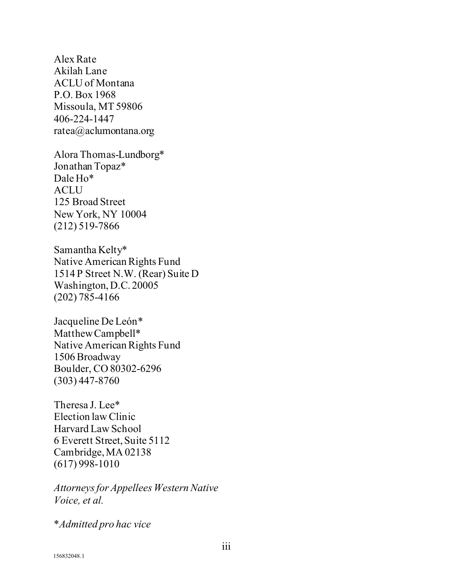Alex Rate Akilah Lane ACLU of Montana P.O. Box 1968 Missoula, MT 59806 406-224-1447 ratea@aclumontana.org

Alora Thomas-Lundborg\* Jonathan Topaz\* Dale Ho\* ACLU 125 Broad Street New York, NY 10004 (212) 519-7866

Samantha Kelty\* Native American Rights Fund 1514 P Street N.W. (Rear) Suite D Washington, D.C. 20005 (202) 785-4166

Jacqueline De León\* Matthew Campbell\* Native American Rights Fund 1506 Broadway Boulder, CO 80302-6296 (303) 447-8760

Theresa J. Lee\* Election law Clinic Harvard Law School 6 Everett Street, Suite 5112 Cambridge, MA 02138 (617) 998-1010

*Attorneys for Appellees Western Native Voice, et al.* 

\**Admitted pro hac vice*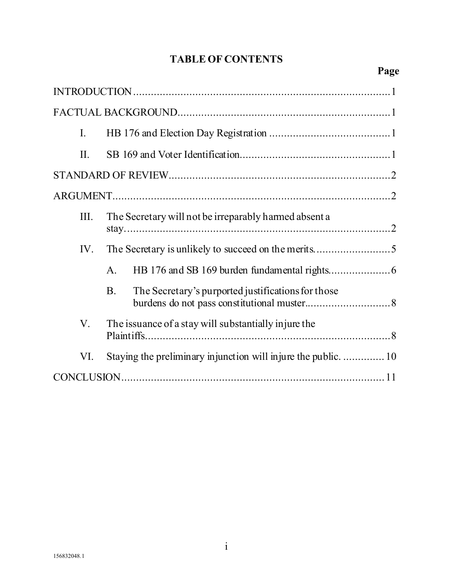# **TABLE OF CONTENTS**

# **Page**

| I.   |                                                                 |
|------|-----------------------------------------------------------------|
| II.  |                                                                 |
|      |                                                                 |
|      |                                                                 |
| III. | The Secretary will not be irreparably harmed absent a           |
| IV.  |                                                                 |
|      | $\mathsf{A}$ .                                                  |
|      | The Secretary's purported justifications for those<br><b>B.</b> |
| V.   | The issuance of a stay will substantially injure the            |
| VI.  |                                                                 |
|      |                                                                 |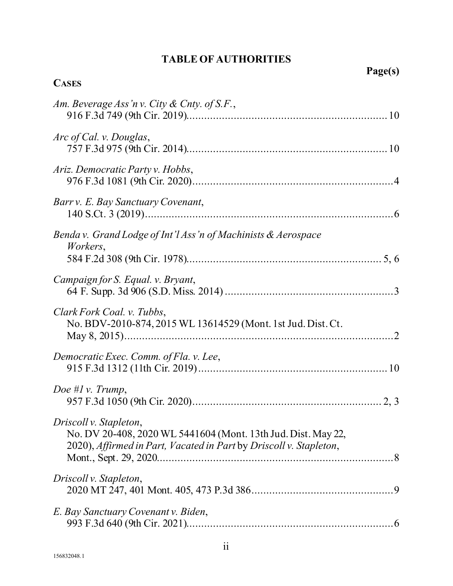# **TABLE OF AUTHORITIES**

| Page(s)                                                                                                                                                       |  |
|---------------------------------------------------------------------------------------------------------------------------------------------------------------|--|
| <b>CASES</b>                                                                                                                                                  |  |
| Am. Beverage Ass'n v. City & Cnty. of S.F.,                                                                                                                   |  |
| Arc of Cal. v. Douglas,                                                                                                                                       |  |
| Ariz. Democratic Party v. Hobbs,                                                                                                                              |  |
| Barr v. E. Bay Sanctuary Covenant,                                                                                                                            |  |
| Benda v. Grand Lodge of Int'l Ass'n of Machinists & Aerospace<br>Workers,                                                                                     |  |
| Campaign for S. Equal. v. Bryant,                                                                                                                             |  |
| Clark Fork Coal. v. Tubbs,<br>No. BDV-2010-874, 2015 WL 13614529 (Mont. 1st Jud. Dist. Ct.                                                                    |  |
| Democratic Exec. Comm. of Fla. v. Lee,                                                                                                                        |  |
| Doe # $l$ v. Trump,                                                                                                                                           |  |
| Driscoll v. Stapleton,<br>No. DV 20-408, 2020 WL 5441604 (Mont. 13th Jud. Dist. May 22,<br>2020), Affirmed in Part, Vacated in Part by Driscoll v. Stapleton, |  |
| Driscoll v. Stapleton,                                                                                                                                        |  |
| E. Bay Sanctuary Covenant v. Biden,                                                                                                                           |  |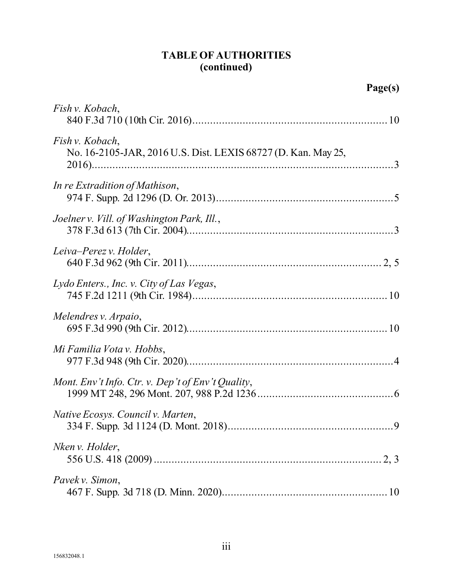# **TABLE OF AUTHORITIES (continued)**

| Page(s)                                                                          |  |
|----------------------------------------------------------------------------------|--|
| Fish v. Kobach,                                                                  |  |
| Fish v. Kobach,<br>No. 16-2105-JAR, 2016 U.S. Dist. LEXIS 68727 (D. Kan. May 25, |  |
| In re Extradition of Mathison,                                                   |  |
| Joelner v. Vill. of Washington Park, Ill.,                                       |  |
| Leiva–Perez v. Holder,                                                           |  |
| Lydo Enters., Inc. v. City of Las Vegas,                                         |  |
| Melendres v. Arpaio,                                                             |  |
| Mi Familia Vota v. Hobbs,                                                        |  |
| Mont. Env't Info. Ctr. v. Dep't of Env't Quality,                                |  |
| Native Ecosys. Council v. Marten,                                                |  |
| Nken v. Holder,                                                                  |  |
| Pavek v. Simon,                                                                  |  |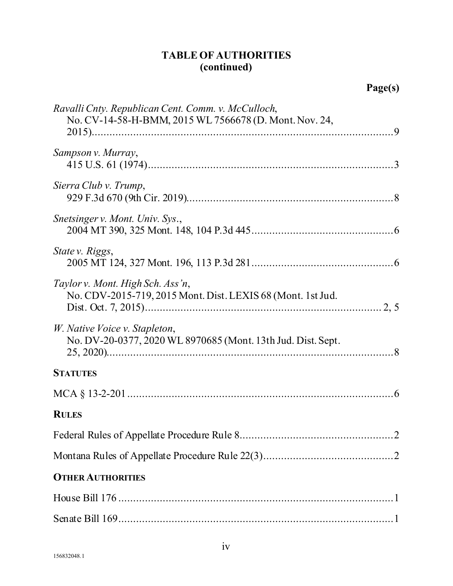# **TABLE OF AUTHORITIES (continued)**

| Ravalli Cnty. Republican Cent. Comm. v. McCulloch,<br>No. CV-14-58-H-BMM, 2015 WL 7566678 (D. Mont. Nov. 24, |
|--------------------------------------------------------------------------------------------------------------|
| Sampson v. Murray,                                                                                           |
| Sierra Club v. Trump,                                                                                        |
| Snetsinger v. Mont. Univ. Sys.,                                                                              |
| State v. Riggs,                                                                                              |
| Taylor v. Mont. High Sch. Ass'n,<br>No. CDV-2015-719, 2015 Mont. Dist. LEXIS 68 (Mont. 1st Jud.              |
| W. Native Voice v. Stapleton,<br>No. DV-20-0377, 2020 WL 8970685 (Mont. 13th Jud. Dist. Sept.                |
| <b>STATUTES</b>                                                                                              |
|                                                                                                              |
| <b>RULES</b>                                                                                                 |
|                                                                                                              |
|                                                                                                              |
| <b>OTHER AUTHORITIES</b>                                                                                     |
|                                                                                                              |
|                                                                                                              |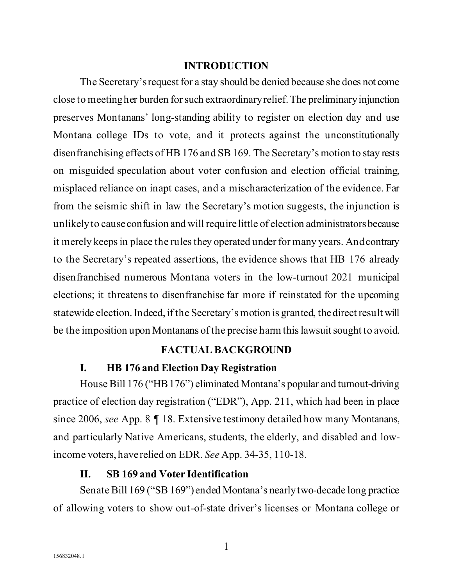#### **INTRODUCTION**

<span id="page-7-0"></span>The Secretary's request for a stay should be denied because she does not come close to meeting her burden for such extraordinary relief. The preliminary injunction preserves Montanans' long-standing ability to register on election day and use Montana college IDs to vote, and it protects against the unconstitutionally disenfranchising effects of HB 176 and SB 169. The Secretary's motion to stay rests on misguided speculation about voter confusion and election official training, misplaced reliance on inapt cases, and a mischaracterization of the evidence. Far from the seismic shift in law the Secretary's motion suggests, the injunction is unlikely to cause confusion and will require little of election administrators because it merely keeps in place the rules they operated under for many years. And contrary to the Secretary's repeated assertions, the evidence shows that HB 176 already disenfranchised numerous Montana voters in the low-turnout 2021 municipal elections; it threatens to disenfranchise far more if reinstated for the upcoming statewide election. Indeed, if the Secretary's motion is granted, the direct result will be the imposition upon Montanans of the precise harm this lawsuit sought to avoid.

#### **FACTUAL BACKGROUND**

#### <span id="page-7-4"></span><span id="page-7-1"></span>**I. HB 176 and Election Day Registration**

<span id="page-7-2"></span>House Bill 176 ("HB 176") eliminated Montana's popular and turnout-driving practice of election day registration ("EDR"), App. 211, which had been in place since 2006, *see* App. 8 ¶ 18. Extensive testimony detailed how many Montanans, and particularly Native Americans, students, the elderly, and disabled and lowincome voters, have relied on EDR. *See* App. 34-35, 110-18.

#### <span id="page-7-5"></span>**II. SB 169 and Voter Identification**

<span id="page-7-3"></span>Senate Bill 169 ("SB 169") ended Montana's nearly two-decade long practice of allowing voters to show out-of-state driver's licenses or Montana college or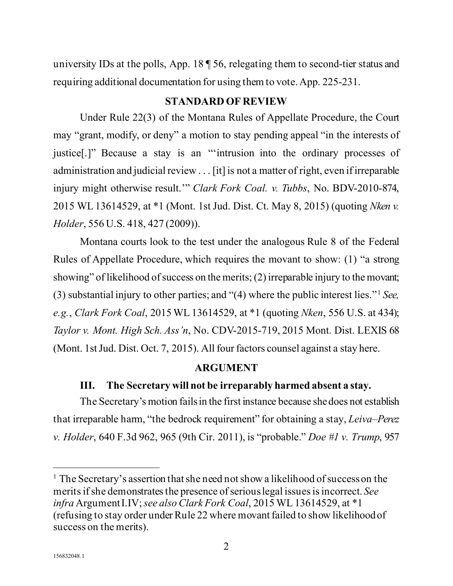university IDs at the polls, App. 18 ¶ 56, relegating them to second-tier status and requiring additional documentation for using them to vote. App. 225-231.

#### <span id="page-8-9"></span><span id="page-8-6"></span><span id="page-8-3"></span>**STANDARD OF REVIEW**

<span id="page-8-0"></span>Under Rule 22(3) of the Montana Rules of Appellate Procedure, the Court may "grant, modify, or deny" a motion to stay pending appeal "in the interests of justice[.]" Because a stay is an "'intrusion into the ordinary processes of administration and judicial review . . . [it] is not a matter of right, even if irreparable injury might otherwise result.'" *Clark Fork Coal. v. Tubbs*, No. BDV-2010-874, 2015 WL 13614529, at \*1 (Mont. 1st Jud. Dist. Ct. May 8, 2015) (quoting *Nken v. Holder*, 556 U.S. 418, 427 (2009)).

Montana courts look to the test under the analogous Rule 8 of the Federal Rules of Appellate Procedure, which requires the movant to show: (1) "a strong showing" of likelihood of success on the merits; (2) irreparable injury to the movant; (3) substantial injury to other parties; and "(4) where the public interest lies."[1](#page-8-10) *See, e.g.*, *Clark Fork Coal*, 2015 WL 13614529, at \*1 (quoting *Nken*, 556 U.S. at 434); *Taylor v. Mont. High Sch. Ass'n*, No. CDV-2015-719, 2015 Mont. Dist. LEXIS 68 (Mont. 1st Jud. Dist. Oct. 7, 2015). All four factors counsel against a stay here.

## <span id="page-8-8"></span><span id="page-8-5"></span><span id="page-8-4"></span>**ARGUMENT**

## <span id="page-8-7"></span><span id="page-8-1"></span>**III. The Secretary will not be irreparably harmed absent a stay.**

<span id="page-8-2"></span>The Secretary's motion fails in the first instance because she does not establish that irreparable harm, "the bedrock requirement" for obtaining a stay, *Leiva–Perez v. Holder*, 640 F.3d 962, 965 (9th Cir. 2011), is "probable." *Doe #1 v. Trump*, 957

<span id="page-8-10"></span><sup>&</sup>lt;sup>1</sup> The Secretary's assertion that she need not show a likelihood of success on the merits if she demonstrates the presence of serious legal issues is incorrect. *See infra* Argumen[t I.IV;](#page-11-0) *see also Clark Fork Coal*, 2015 WL 13614529, at \*1 (refusing to stay order under Rule 22 where movant failed to show likelihood of success on the merits).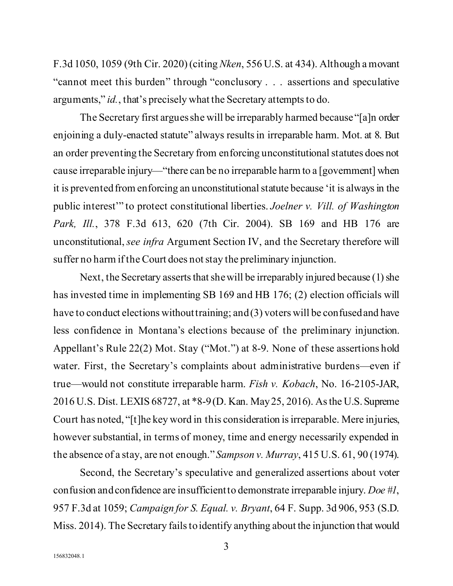<span id="page-9-4"></span>F.3d 1050, 1059 (9th Cir. 2020) (citing *Nken*, 556 U.S. at 434). Although a movant "cannot meet this burden" through "conclusory . . . assertions and speculative arguments," *id.*, that's precisely what the Secretary attempts to do.

<span id="page-9-1"></span>The Secretary first argues she will be irreparably harmed because "[a]n order enjoining a duly-enacted statute" always results in irreparable harm. Mot. at 8. But an order preventing the Secretary from enforcing unconstitutional statutes does not cause irreparable injury—"there can be no irreparable harm to a [government] when it is prevented from enforcing an unconstitutional statute because 'it is always in the public interest'" to protect constitutional liberties. *Joelner v. Vill. of Washington Park, Ill.*, 378 F.3d 613, 620 (7th Cir. 2004). SB 169 and HB 176 are unconstitutional, *see infra* Argument Section [IV,](#page-11-0) and the Secretary therefore will suffer no harm if the Court does not stay the preliminary injunction.

<span id="page-9-3"></span>Next, the Secretary asserts that she will be irreparably injured because (1) she has invested time in implementing SB 169 and HB 176; (2) election officials will have to conduct elections without training; and (3) voters will be confused and have less confidence in Montana's elections because of the preliminary injunction. Appellant's Rule 22(2) Mot. Stay ("Mot.") at 8-9. None of these assertions hold water. First, the Secretary's complaints about administrative burdens—even if true—would not constitute irreparable harm. *Fish v. Kobach*, No. 16-2105-JAR, 2016 U.S. Dist. LEXIS 68727, at \*8-9 (D. Kan. May 25, 2016). As the U.S. Supreme Court has noted, "[t]he key word in this consideration is irreparable. Mere injuries, however substantial, in terms of money, time and energy necessarily expended in the absence of a stay, are not enough."*Sampson v. Murray*, 415 U.S. 61, 90 (1974).

<span id="page-9-5"></span><span id="page-9-2"></span><span id="page-9-0"></span>Second, the Secretary's speculative and generalized assertions about voter confusion and confidence are insufficient to demonstrate irreparable injury. *Doe #1*, 957 F.3d at 1059; *Campaign for S. Equal. v. Bryant*, 64 F. Supp. 3d 906, 953 (S.D. Miss. 2014). The Secretary fails to identify anything about the injunction that would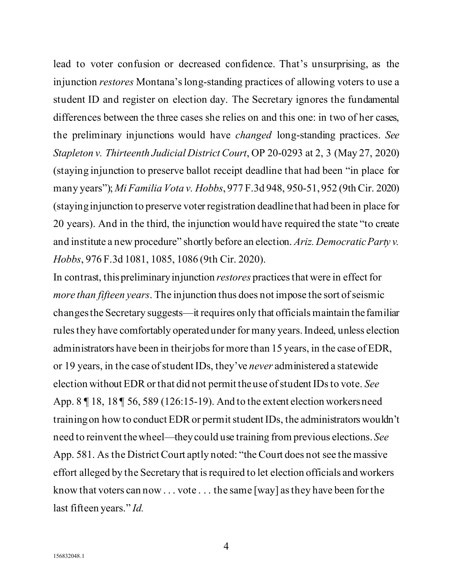lead to voter confusion or decreased confidence. That's unsurprising, as the injunction *restores* Montana's long-standing practices of allowing voters to use a student ID and register on election day. The Secretary ignores the fundamental differences between the three cases she relies on and this one: in two of her cases, the preliminary injunctions would have *changed* long-standing practices. *See Stapleton v. Thirteenth Judicial District Court*, OP 20-0293 at 2, 3 (May 27, 2020) (staying injunction to preserve ballot receipt deadline that had been "in place for many years"); *Mi Familia Vota v. Hobbs*, 977 F.3d 948, 950-51, 952 (9th Cir. 2020) (staying injunction to preserve voter registration deadline that had been in place for 20 years). And in the third, the injunction would have required the state "to create and institute a new procedure" shortly before an election. *Ariz. Democratic Party v. Hobbs*, 976 F.3d 1081, 1085, 1086 (9th Cir. 2020).

<span id="page-10-1"></span><span id="page-10-0"></span>In contrast, thispreliminary injunction *restores* practices that were in effect for *more than fifteen years*. The injunction thus does not impose the sort of seismic changesthe Secretary suggests—it requires only that officials maintain the familiar rules they have comfortably operated under for many years. Indeed, unless election administrators have been in their jobs for more than 15 years, in the case of EDR, or 19 years, in the case of student IDs, they've *never* administered a statewide election without EDR or that did not permit the use of student IDs to vote. *See*  App. 8 ¶ 18, 18 ¶ 56, 589 (126:15-19). And to the extent election workersneed training on how to conduct EDR or permit student IDs, the administrators wouldn't need to reinvent the wheel—they could use training from previous elections. *See*  App. 581. As the District Court aptly noted: "the Court does not see the massive effort alleged by the Secretary that is required to let election officials and workers know that voters can now . . . vote . . . the same [way] as they have been for the last fifteen years." *Id.*

4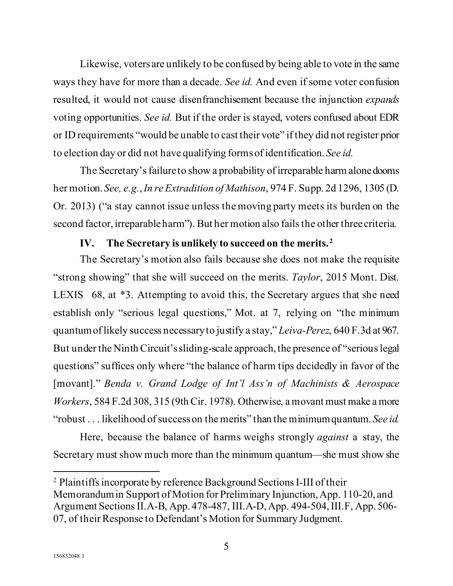Likewise, voters are unlikely to be confused by being able to vote in the same ways they have for more than a decade. *See id.* And even if some voter confusion resulted, it would not cause disenfranchisement because the injunction *expands* voting opportunities. *See id.* But if the order is stayed, voters confused about EDR or ID requirements "would be unable to cast their vote" if they did not register prior to election day or did not have qualifying forms of identification. *See id.*

The Secretary's failure to show a probability of irreparable harm alone dooms her motion. *See, e.g.*, *In re Extradition of Mathison*, 974 F. Supp. 2d 1296, 1305 (D. Or. 2013) ("a stay cannot issue unless the moving party meets its burden on the second factor, irreparable harm"). But her motion also fails the other three criteria.

### <span id="page-11-4"></span><span id="page-11-3"></span><span id="page-11-2"></span>**IV. The Secretary is unlikely to succeed on the merits. [2](#page-11-5)**

<span id="page-11-0"></span>The Secretary's motion also fails because she does not make the requisite "strong showing" that she will succeed on the merits. *Taylor*, 2015 Mont. Dist. LEXIS 68, at \*3. Attempting to avoid this, the Secretary argues that she need establish only "serious legal questions," Mot. at 7, relying on "the minimum quantum of likely success necessary to justify a stay," *Leiva-Perez*, 640 F.3d at 967. But under the Ninth Circuit's sliding-scale approach, the presence of "serious legal questions" suffices only where "the balance of harm tips decidedly in favor of the [movant]." *Benda v. Grand Lodge of Int'l Ass'n of Machinists & Aerospace Workers*, 584 F.2d 308, 315 (9th Cir. 1978). Otherwise, a movant must make a more "robust . . . likelihood of success on the merits" than the minimum quantum. *See id.*

<span id="page-11-1"></span>Here, because the balance of harms weighs strongly *against* a stay, the Secretary must show much more than the minimum quantum—she must show she

<span id="page-11-5"></span><sup>2</sup> Plaintiffs incorporate by reference Background Sections I-III of their Memorandum in Support of Motion for Preliminary Injunction, App. 110-20, and Argument Sections II.A-B, App. 478-487, III.A-D,App. 494-504,III.F, App. 506- 07, of their Response to Defendant's Motion for Summary Judgment.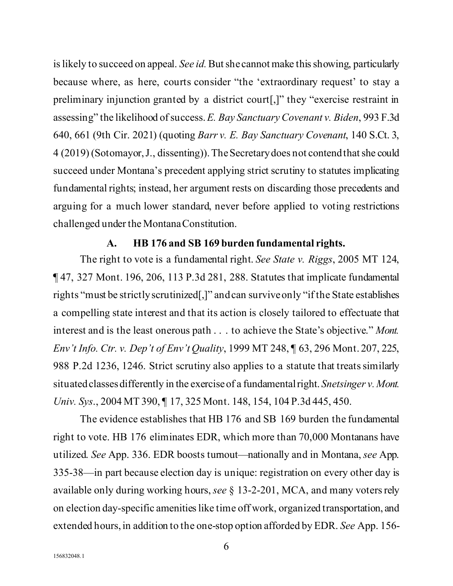<span id="page-12-3"></span><span id="page-12-2"></span>is likely to succeed on appeal. *See id*. But she cannot make this showing, particularly because where, as here, courts consider "the 'extraordinary request' to stay a preliminary injunction granted by a district court[,]" they "exercise restraint in assessing" the likelihood of success. *E. Bay Sanctuary Covenant v. Biden*, 993 F.3d 640, 661 (9th Cir. 2021) (quoting *Barr v. E. Bay Sanctuary Covenant*, 140 S.Ct. 3, 4 (2019) (Sotomayor, J., dissenting)).The Secretary does not contend that she could succeed under Montana's precedent applying strict scrutiny to statutes implicating fundamental rights; instead, her argument rests on discarding those precedents and arguing for a much lower standard, never before applied to voting restrictions challenged under the Montana Constitution.

#### <span id="page-12-6"></span><span id="page-12-5"></span><span id="page-12-4"></span><span id="page-12-1"></span>**A. HB 176 and SB 169 burden fundamental rights.**

<span id="page-12-0"></span>The right to vote is a fundamental right. *See State v. Riggs*, 2005 MT 124, ¶ 47, 327 Mont. 196, 206, 113 P.3d 281, 288. Statutes that implicate fundamental rights "must be strictly scrutinized[,]" andcan survive only "if the State establishes a compelling state interest and that its action is closely tailored to effectuate that interest and is the least onerous path . . . to achieve the State's objective." *Mont. Env't Info. Ctr. v. Dep't of Env't Quality*, 1999 MT 248, ¶ 63, 296 Mont. 207, 225, 988 P.2d 1236, 1246. Strict scrutiny also applies to a statute that treats similarly situated classes differently in the exercise of a fundamental right. *Snetsinger v. Mont. Univ. Sys*., 2004 MT 390, ¶ 17, 325 Mont. 148, 154, 104 P.3d 445, 450.

<span id="page-12-7"></span>The evidence establishes that HB 176 and SB 169 burden the fundamental right to vote. HB 176 eliminates EDR, which more than 70,000 Montanans have utilized. *See* App. 336. EDR boosts turnout—nationally and in Montana, *see* App. 335-38—in part because election day is unique: registration on every other day is available only during working hours, *see* § 13-2-201, MCA, and many voters rely on election day-specific amenities like time off work, organized transportation, and extended hours, in addition to the one-stop option afforded by EDR. *See* App. 156-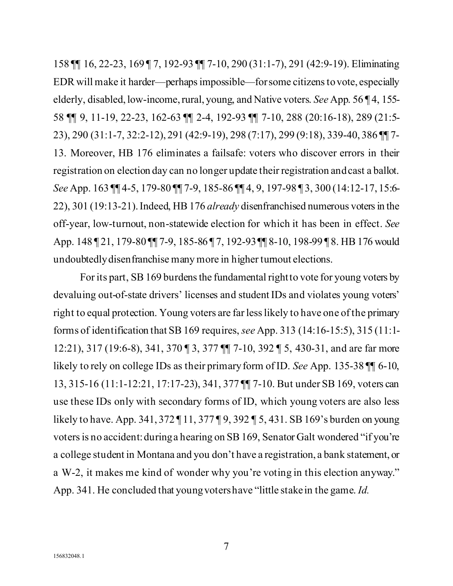158 ¶¶ 16, 22-23, 169 ¶ 7, 192-93 ¶¶ 7-10, 290 (31:1-7), 291 (42:9-19). Eliminating EDR will make it harder—perhaps impossible—forsome citizens to vote, especially elderly, disabled, low-income, rural, young, and Native voters. *See* App. 56 ¶ 4, 155- 58 ¶¶ 9, 11-19, 22-23, 162-63 ¶¶ 2-4, 192-93 ¶¶ 7-10, 288 (20:16-18), 289 (21:5- 23), 290 (31:1-7, 32:2-12), 291 (42:9-19), 298 (7:17), 299 (9:18), 339-40, 386 ¶¶ 7- 13. Moreover, HB 176 eliminates a failsafe: voters who discover errors in their registration on election day can no longer update their registration and cast a ballot. *See* App. 163 ¶¶ 4-5, 179-80 ¶¶ 7-9, 185-86 ¶¶ 4, 9, 197-98 ¶ 3, 300 (14:12-17, 15:6- 22), 301 (19:13-21).Indeed, HB 176 *already* disenfranchised numerous voters in the off-year, low-turnout, non-statewide election for which it has been in effect. *See*  App. 148 ¶ 21, 179-80 ¶¶ 7-9, 185-86 ¶ 7, 192-93 ¶¶ 8-10, 198-99 ¶ 8. HB 176 would undoubtedlydisenfranchise many more in higher turnout elections.

For its part, SB169 burdens the fundamental right to vote for young voters by devaluing out-of-state drivers' licenses and student IDs and violates young voters' right to equal protection. Young voters are far less likely to have one of the primary forms of identification that SB 169 requires, *see* App. 313 (14:16-15:5), 315 (11:1- 12:21), 317 (19:6-8), 341, 370 ¶ 3, 377 ¶¶ 7-10, 392 ¶ 5, 430-31, and are far more likely to rely on college IDs as their primary form of ID. *See* App. 135-38 ¶¶ 6-10, 13, 315-16 (11:1-12:21, 17:17-23), 341, 377 ¶¶ 7-10. But under SB 169, voters can use these IDs only with secondary forms of ID, which young voters are also less likely to have. App. 341, 372 ¶ 11, 377 ¶ 9, 392 ¶ 5, 431. SB 169's burden on young voters is no accident: during a hearing on SB 169, Senator Galt wondered "if you're a college student in Montana and you don't have a registration, a bank statement, or a W-2, it makes me kind of wonder why you're voting in this election anyway." App. 341. He concluded that young voters have "little stake in the game. *Id.*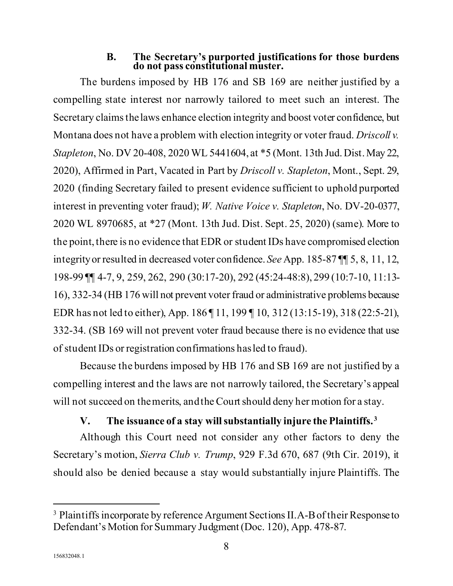# <span id="page-14-4"></span><span id="page-14-2"></span>**B.** The Secretary's purported justifications for those burdens do not pass constitutional muster.

<span id="page-14-0"></span>The burdens imposed by HB 176 and SB 169 are neither justified by a compelling state interest nor narrowly tailored to meet such an interest. The Secretary claims the laws enhance election integrity and boost voter confidence, but Montana does not have a problem with election integrity or voter fraud. *Driscoll v. Stapleton*, No. DV 20-408, 2020 WL 5441604, at \*5 (Mont. 13th Jud. Dist. May 22, 2020), Affirmed in Part, Vacated in Part by *Driscoll v. Stapleton*, Mont., Sept. 29, 2020 (finding Secretary failed to present evidence sufficient to uphold purported interest in preventing voter fraud); *W. Native Voice v. Stapleton*, No. DV-20-0377, 2020 WL 8970685, at \*27 (Mont. 13th Jud. Dist. Sept. 25, 2020) (same). More to the point, there is no evidence that EDR or student IDs have compromised election integrityor resulted in decreased voter confidence. *See* App. 185-87 ¶¶ 5, 8, 11, 12, 198-99 ¶¶ 4-7, 9, 259, 262, 290 (30:17-20), 292 (45:24-48:8), 299 (10:7-10, 11:13- 16), 332-34 (HB 176 will not prevent voter fraud or administrative problems because EDR has not led to either), App. 186 ¶ 11, 199 ¶ 10, 312 (13:15-19), 318 (22:5-21), 332-34. (SB 169 will not prevent voter fraud because there is no evidence that use of student IDs or registration confirmations has led to fraud).

Because the burdens imposed by HB 176 and SB 169 are not justified by a compelling interest and the laws are not narrowly tailored, the Secretary's appeal will not succeed on the merits, and the Court should deny her motion for a stay.

## <span id="page-14-3"></span>**V. The issuance of a stay will substantially injure the Plaintiffs. [3](#page-14-5)**

<span id="page-14-1"></span>Although this Court need not consider any other factors to deny the Secretary's motion, *Sierra Club v. Trump*, 929 F.3d 670, 687 (9th Cir. 2019), it should also be denied because a stay would substantially injure Plaintiffs. The

<span id="page-14-5"></span><sup>&</sup>lt;sup>3</sup> Plaintiffs incorporate by reference Argument Sections II.A-B of their Response to Defendant's Motion for Summary Judgment (Doc. 120), App. 478-87.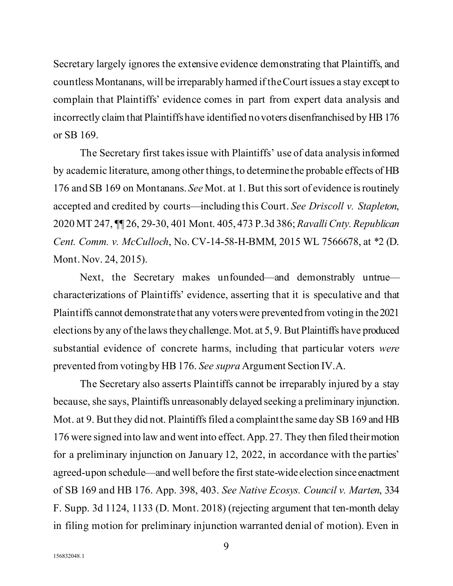Secretary largely ignores the extensive evidence demonstrating that Plaintiffs, and countless Montanans, will be irreparably harmed if the Court issues a stay except to complain that Plaintiffs' evidence comes in part from expert data analysis and incorrectly claim that Plaintiffs have identified no voters disenfranchised by HB 176 or SB 169.

<span id="page-15-0"></span>The Secretary first takes issue with Plaintiffs' use of data analysisinformed by academic literature, among other things, to determine the probable effects of HB 176 and SB 169 on Montanans. *See* Mot. at 1. But this sort of evidence is routinely accepted and credited by courts—including this Court. *See Driscoll v. Stapleton*, 2020 MT 247, ¶¶ 26, 29-30, 401 Mont. 405, 473 P.3d 386; *Ravalli Cnty. Republican Cent. Comm. v. McCulloch*, No. CV-14-58-H-BMM, 2015 WL 7566678, at \*2 (D. Mont. Nov. 24, 2015).

<span id="page-15-2"></span>Next, the Secretary makes unfounded—and demonstrably untrue characterizations of Plaintiffs' evidence, asserting that it is speculative and that Plaintiffs cannot demonstrate that any voters were prevented from voting in the 2021 elections by any of the laws they challenge. Mot. at 5, 9. But Plaintiffs have produced substantial evidence of concrete harms, including that particular voters *were*  prevented from voting by HB 176. *See supra* Argument Sectio[n IV.A.](#page-12-0)

<span id="page-15-1"></span>The Secretary also asserts Plaintiffs cannot be irreparably injured by a stay because, she says, Plaintiffs unreasonably delayed seeking a preliminary injunction. Mot. at 9. But they did not. Plaintiffs filed a complaint the same day SB 169 and HB 176 were signed into law and went into effect.App. 27. They then filed their motion for a preliminary injunction on January 12, 2022, in accordance with the parties' agreed-upon schedule—and well before the first state-wide election since enactment of SB 169 and HB 176. App. 398, 403. *See Native Ecosys. Council v. Marten*, 334 F. Supp. 3d 1124, 1133 (D. Mont. 2018) (rejecting argument that ten-month delay in filing motion for preliminary injunction warranted denial of motion). Even in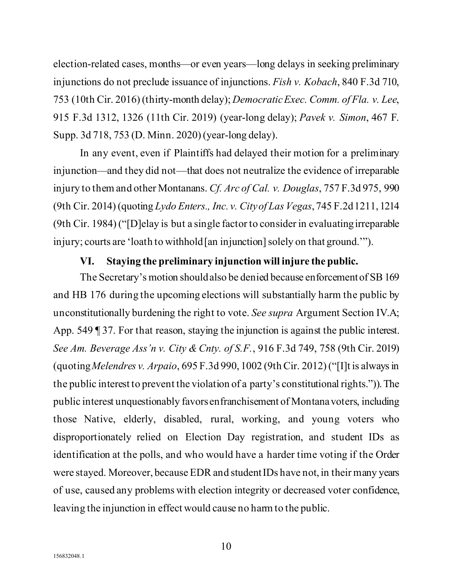<span id="page-16-4"></span><span id="page-16-3"></span>election-related cases, months—or even years—long delays in seeking preliminary injunctions do not preclude issuance of injunctions. *Fish v. Kobach*, 840 F.3d 710, 753 (10th Cir. 2016) (thirty-month delay); *DemocraticExec. Comm. of Fla. v. Lee*, 915 F.3d 1312, 1326 (11th Cir. 2019) (year-long delay); *Pavek v. Simon*, 467 F. Supp. 3d 718, 753 (D. Minn. 2020) (year-long delay).

<span id="page-16-7"></span>In any event, even if Plaintiffs had delayed their motion for a preliminary injunction—and they did not—that does not neutralize the evidence of irreparable injury to them and other Montanans. *Cf. Arc of Cal. v. Douglas*, 757 F.3d 975, 990 (9th Cir. 2014) (quoting *Lydo Enters., Inc. v. City of Las Vegas*, 745 F.2d 1211, 1214 (9th Cir. 1984)("[D]elay is but a single factor to consider in evaluating irreparable injury; courts are 'loath to withhold [an injunction] solely on that ground.'").

### <span id="page-16-5"></span><span id="page-16-2"></span>**VI. Staying the preliminary injunction will injure the public.**

<span id="page-16-6"></span><span id="page-16-1"></span><span id="page-16-0"></span>The Secretary's motion should also be denied because enforcement of SB 169 and HB 176 during the upcoming elections will substantially harm the public by unconstitutionally burdening the right to vote. *See supra* Argument Sectio[n IV.A;](#page-12-0) App. 549 ¶ 37. For that reason, staying the injunction is against the public interest. *See Am. Beverage Ass'n v. City & Cnty. of S.F.*, 916 F.3d 749, 758 (9th Cir. 2019) (quoting *Melendres v. Arpaio*, 695 F.3d 990, 1002 (9th Cir. 2012)("[I]t is always in the public interest to prevent the violation of a party's constitutional rights.")). The public interest unquestionably favors enfranchisement of Montana voters, including those Native, elderly, disabled, rural, working, and young voters who disproportionately relied on Election Day registration, and student IDs as identification at the polls, and who would have a harder time voting if the Order were stayed. Moreover, because EDR and student IDs have not, in their many years of use, caused any problems with election integrity or decreased voter confidence, leaving the injunction in effect would cause no harm to the public.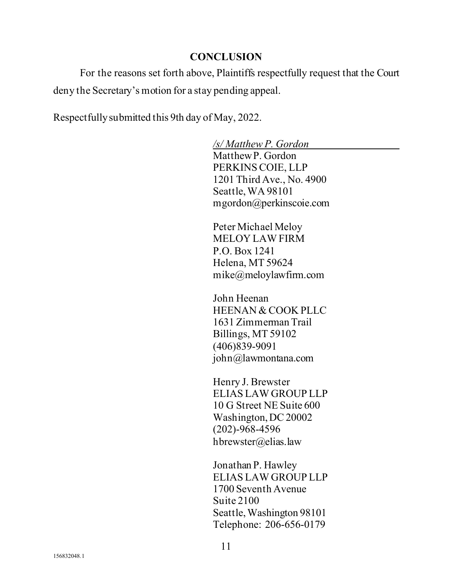#### **CONCLUSION**

<span id="page-17-0"></span>For the reasons set forth above, Plaintiffs respectfully request that the Court deny the Secretary's motion for a stay pending appeal.

Respectfully submitted this 9th day of May, 2022.

*/s/ Matthew P. Gordon*

Matthew P. Gordon PERKINS COIE, LLP 1201 Third Ave., No. 4900 Seattle, WA 98101 mgordon@perkinscoie.com

Peter Michael Meloy MELOY LAW FIRM P.O. Box 1241 Helena, MT 59624 mike@meloylawfirm.com

John Heenan HEENAN & COOK PLLC 1631 Zimmerman Trail Billings, MT 59102 (406)839-9091 john@lawmontana.com

Henry J. Brewster ELIAS LAW GROUP LLP 10 G Street NE Suite 600 Washington, DC 20002 (202)-968-4596 hbrewster@elias.law

Jonathan P. Hawley ELIAS LAW GROUP LLP 1700 Seventh Avenue Suite 2100 Seattle, Washington 98101 Telephone: 206-656-0179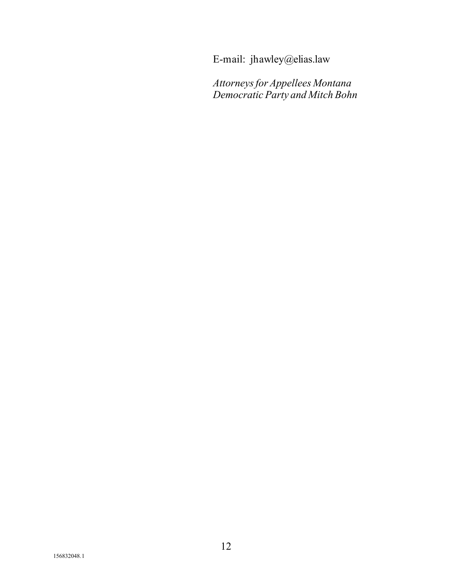E-mail: jhawley@elias.law

*Attorneys for Appellees Montana Democratic Party and Mitch Bohn*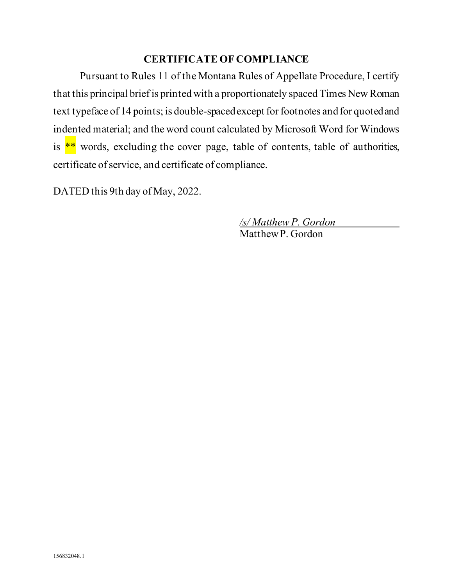## **CERTIFICATE OF COMPLIANCE**

Pursuant to Rules 11 of the Montana Rules of Appellate Procedure, I certify that this principal brief is printed with a proportionately spaced Times New Roman text typeface of 14 points; is double-spaced except for footnotes and for quoted and indented material; and the word count calculated by Microsoft Word for Windows is  $*$  words, excluding the cover page, table of contents, table of authorities, certificate of service, and certificate of compliance.

DATED this 9th day of May, 2022.

*/s/ Matthew P. Gordon* Matthew P. Gordon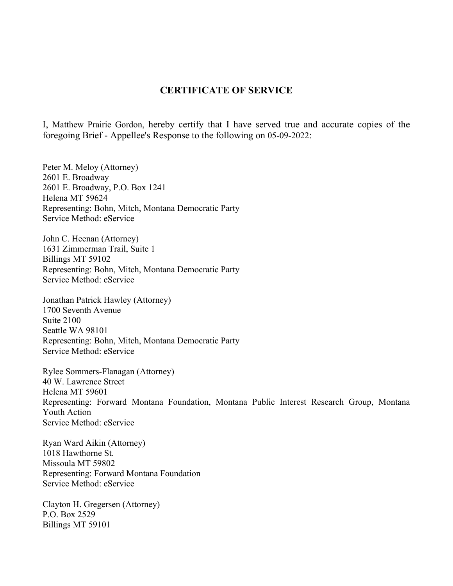#### **CERTIFICATE OF SERVICE**

I, Matthew Prairie Gordon, hereby certify that I have served true and accurate copies of the foregoing Brief - Appellee's Response to the following on 05-09-2022:

Peter M. Meloy (Attorney) 2601 E. Broadway 2601 E. Broadway, P.O. Box 1241 Helena MT 59624 Representing: Bohn, Mitch, Montana Democratic Party Service Method: eService

John C. Heenan (Attorney) 1631 Zimmerman Trail, Suite 1 Billings MT 59102 Representing: Bohn, Mitch, Montana Democratic Party Service Method: eService

Jonathan Patrick Hawley (Attorney) 1700 Seventh Avenue Suite 2100 Seattle WA 98101 Representing: Bohn, Mitch, Montana Democratic Party Service Method: eService

Rylee Sommers-Flanagan (Attorney) 40 W. Lawrence Street Helena MT 59601 Representing: Forward Montana Foundation, Montana Public Interest Research Group, Montana Youth Action Service Method: eService

Ryan Ward Aikin (Attorney) 1018 Hawthorne St. Missoula MT 59802 Representing: Forward Montana Foundation Service Method: eService

Clayton H. Gregersen (Attorney) P.O. Box 2529 Billings MT 59101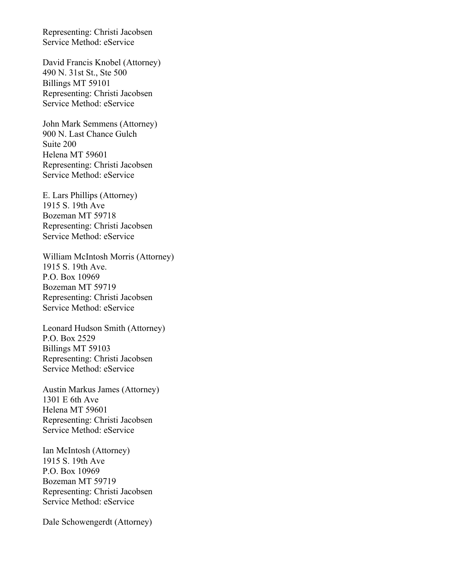Representing: Christi Jacobsen Service Method: eService

David Francis Knobel (Attorney) 490 N. 31st St., Ste 500 Billings MT 59101 Representing: Christi Jacobsen Service Method: eService

John Mark Semmens (Attorney) 900 N. Last Chance Gulch Suite 200 Helena MT 59601 Representing: Christi Jacobsen Service Method: eService

E. Lars Phillips (Attorney) 1915 S. 19th Ave Bozeman MT 59718 Representing: Christi Jacobsen Service Method: eService

William McIntosh Morris (Attorney) 1915 S. 19th Ave. P.O. Box 10969 Bozeman MT 59719 Representing: Christi Jacobsen Service Method: eService

Leonard Hudson Smith (Attorney) P.O. Box 2529 Billings MT 59103 Representing: Christi Jacobsen Service Method: eService

Austin Markus James (Attorney) 1301 E 6th Ave Helena MT 59601 Representing: Christi Jacobsen Service Method: eService

Ian McIntosh (Attorney) 1915 S. 19th Ave P.O. Box 10969 Bozeman MT 59719 Representing: Christi Jacobsen Service Method: eService

Dale Schowengerdt (Attorney)